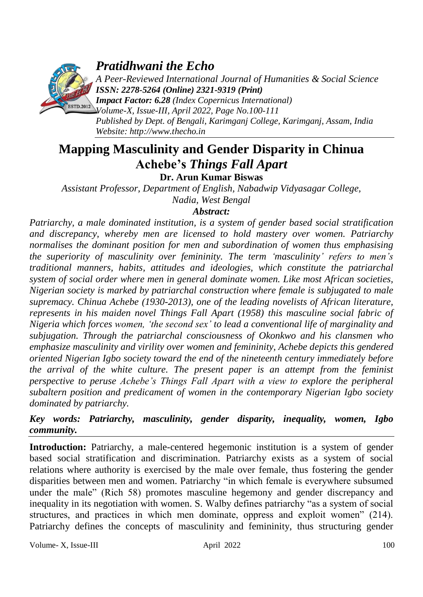

# *Pratidhwani the Echo*

*A Peer-Reviewed International Journal of Humanities & Social Science ISSN: 2278-5264 (Online) 2321-9319 (Print)*

*Impact Factor: 6.28 (Index Copernicus International)* **ESTD.2012** *Volume-X, Issue-III, April 2022, Page No.100-111 Published by Dept. of Bengali, Karimganj College, Karimganj, Assam, India Website: [http://www.thecho.in](http://www.thecho.in/)*

# **Mapping Masculinity and Gender Disparity in Chinua Achebe's** *Things Fall Apart* **Dr. Arun Kumar Biswas**

*Assistant Professor, Department of English, Nabadwip Vidyasagar College, Nadia, West Bengal*

## *Abstract:*

*Patriarchy, a male dominated institution, is a system of gender based social stratification and discrepancy, whereby men are licensed to hold mastery over women. Patriarchy normalises the dominant position for men and subordination of women thus emphasising the superiority of masculinity over femininity. The term 'masculinity' refers to men's traditional manners, habits, attitudes and ideologies, which constitute the patriarchal system of social order where men in general dominate women. Like most African societies, Nigerian society is marked by patriarchal construction where female is subjugated to male supremacy. Chinua Achebe (1930-2013), one of the leading novelists of African literature, represents in his maiden novel Things Fall Apart (1958) this masculine social fabric of Nigeria which forces women, 'the second sex' to lead a conventional life of marginality and subjugation. Through the patriarchal consciousness of Okonkwo and his clansmen who emphasize masculinity and virility over women and femininity, Achebe depicts this gendered oriented Nigerian Igbo society toward the end of the nineteenth century immediately before the arrival of the white culture. The present paper is an attempt from the feminist perspective to peruse Achebe's Things Fall Apart with a view to explore the peripheral subaltern position and predicament of women in the contemporary Nigerian Igbo society dominated by patriarchy.* 

## *Key words: Patriarchy, masculinity, gender disparity, inequality, women, Igbo community.*

Introduction: Patriarchy, a male-centered hegemonic institution is a system of gender based social stratification and discrimination. Patriarchy exists as a system of social relations where authority is exercised by the male over female, thus fostering the gender disparities between men and women. Patriarchy "in which female is everywhere subsumed under the male" (Rich 58) promotes masculine hegemony and gender discrepancy and inequality in its negotiation with women. S. Walby defines patriarchy "as a system of social structures, and practices in which men dominate, oppress and exploit women" (214). Patriarchy defines the concepts of masculinity and femininity, thus structuring gender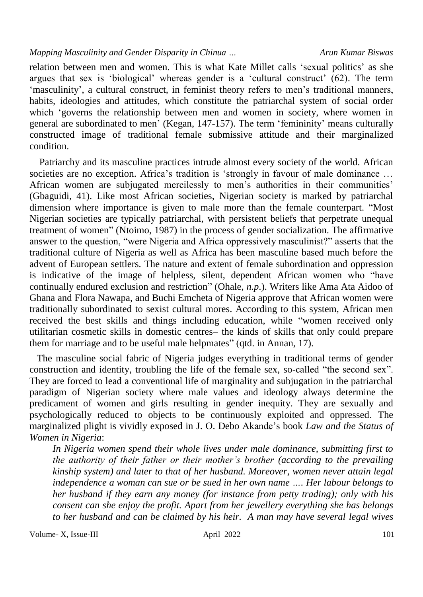relation between men and women. This is what Kate Millet calls "sexual politics" as she argues that sex is 'biological' whereas gender is a 'cultural construct'  $(62)$ . The term 'masculinity', a cultural construct, in feminist theory refers to men's traditional manners, habits, ideologies and attitudes, which constitute the patriarchal system of social order which 'governs the relationship between men and women in society, where women in general are subordinated to men' (Kegan, 147-157). The term 'femininity' means culturally constructed image of traditional female submissive attitude and their marginalized condition.

 Patriarchy and its masculine practices intrude almost every society of the world. African societies are no exception. Africa's tradition is 'strongly in favour of male dominance ... African women are subjugated mercilessly to men's authorities in their communities' (Gbaguidi, 41). Like most African societies, Nigerian society is marked by patriarchal dimension where importance is given to male more than the female counterpart. "Most Nigerian societies are typically patriarchal, with persistent beliefs that perpetrate unequal treatment of women" (Ntoimo, 1987) in the process of gender socialization. The affirmative answer to the question, "were Nigeria and Africa oppressively masculinist?" asserts that the traditional culture of Nigeria as well as Africa has been masculine based much before the advent of European settlers. The nature and extent of female subordination and oppression is indicative of the image of helpless, silent, dependent African women who "have continually endured exclusion and restriction" (Ohale, *n.p*.). Writers like Ama Ata Aidoo of Ghana and Flora Nawapa, and Buchi Emcheta of Nigeria approve that African women were traditionally subordinated to sexist cultural mores. According to this system, African men received the best skills and things including education, while "women received only utilitarian cosmetic skills in domestic centres– the kinds of skills that only could prepare them for marriage and to be useful male helpmates" (qtd. in Annan, 17).

 The masculine social fabric of Nigeria judges everything in traditional terms of gender construction and identity, troubling the life of the female sex, so-called "the second sex". They are forced to lead a conventional life of marginality and subjugation in the patriarchal paradigm of Nigerian society where male values and ideology always determine the predicament of women and girls resulting in gender inequity. They are sexually and psychologically reduced to objects to be continuously exploited and oppressed. The marginalized plight is vividly exposed in J. O. Debo Akande"s book *Law and the Status of Women in Nigeria*:

*In Nigeria women spend their whole lives under male dominance, submitting first to the authority of their father or their mother's brother (according to the prevailing kinship system) and later to that of her husband. Moreover, women never attain legal independence a woman can sue or be sued in her own name …. Her labour belongs to her husband if they earn any money (for instance from petty trading); only with his consent can she enjoy the profit. Apart from her jewellery everything she has belongs to her husband and can be claimed by his heir. A man may have several legal wives*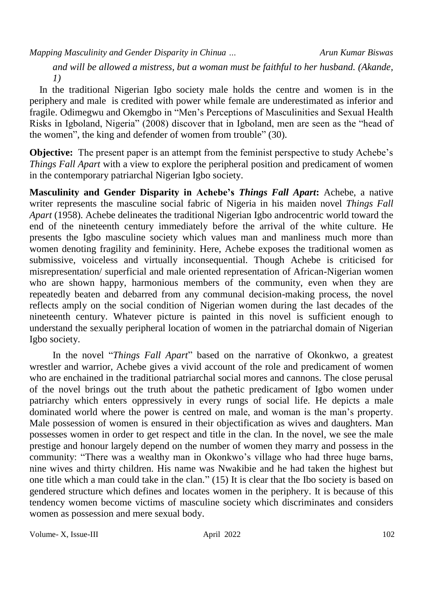*and will be allowed a mistress, but a woman must be faithful to her husband. (Akande, 1)* 

 In the traditional Nigerian Igbo society male holds the centre and women is in the periphery and male is credited with power while female are underestimated as inferior and fragile. Odimegwu and Okemgbo in "Men"s Perceptions of Masculinities and Sexual Health Risks in Igboland, Nigeria" (2008) discover that in Igboland, men are seen as the "head of the women", the king and defender of women from trouble" (30).

**Objective:** The present paper is an attempt from the feminist perspective to study Achebe's *Things Fall Apart* with a view to explore the peripheral position and predicament of women in the contemporary patriarchal Nigerian Igbo society.

**Masculinity and Gender Disparity in Achebe's** *Things Fall Apart***:** Achebe, a native writer represents the masculine social fabric of Nigeria in his maiden novel *Things Fall Apart* (1958). Achebe delineates the traditional Nigerian Igbo androcentric world toward the end of the nineteenth century immediately before the arrival of the white culture. He presents the Igbo masculine society which values man and manliness much more than women denoting fragility and femininity. Here, Achebe exposes the traditional women as submissive, voiceless and virtually inconsequential. Though Achebe is criticised for misrepresentation/ superficial and male oriented representation of African-Nigerian women who are shown happy, harmonious members of the community, even when they are repeatedly beaten and debarred from any communal decision-making process, the novel reflects amply on the social condition of Nigerian women during the last decades of the nineteenth century. Whatever picture is painted in this novel is sufficient enough to understand the sexually peripheral location of women in the patriarchal domain of Nigerian Igbo society.

In the novel "*Things Fall Apart*" based on the narrative of Okonkwo, a greatest wrestler and warrior, Achebe gives a vivid account of the role and predicament of women who are enchained in the traditional patriarchal social mores and cannons. The close perusal of the novel brings out the truth about the pathetic predicament of Igbo women under patriarchy which enters oppressively in every rungs of social life. He depicts a male dominated world where the power is centred on male, and woman is the man"s property. Male possession of women is ensured in their objectification as wives and daughters. Man possesses women in order to get respect and title in the clan. In the novel, we see the male prestige and honour largely depend on the number of women they marry and possess in the community: "There was a wealthy man in Okonkwo"s village who had three huge barns, nine wives and thirty children. His name was Nwakibie and he had taken the highest but one title which a man could take in the clan." (15) It is clear that the Ibo society is based on gendered structure which defines and locates women in the periphery. It is because of this tendency women become victims of masculine society which discriminates and considers women as possession and mere sexual body.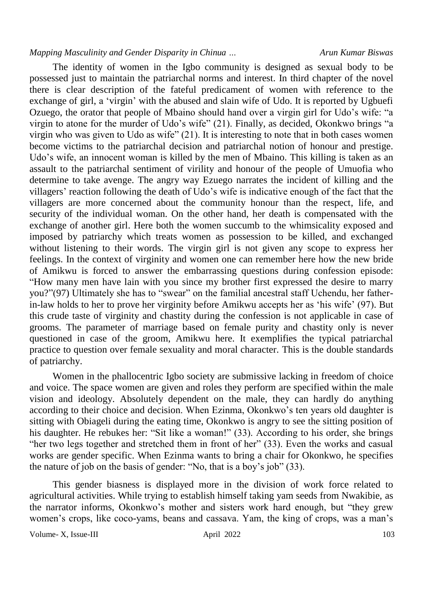The identity of women in the Igbo community is designed as sexual body to be possessed just to maintain the patriarchal norms and interest. In third chapter of the novel there is clear description of the fateful predicament of women with reference to the exchange of girl, a "virgin" with the abused and slain wife of Udo. It is reported by Ugbuefi Ozuego, the orator that people of Mbaino should hand over a virgin girl for Udo"s wife: "a virgin to atone for the murder of Udo"s wife" (21). Finally, as decided, Okonkwo brings "a virgin who was given to Udo as wife" (21). It is interesting to note that in both cases women become victims to the patriarchal decision and patriarchal notion of honour and prestige. Udo"s wife, an innocent woman is killed by the men of Mbaino. This killing is taken as an assault to the patriarchal sentiment of virility and honour of the people of Umuofia who determine to take avenge. The angry way Ezuego narrates the incident of killing and the villagers' reaction following the death of Udo's wife is indicative enough of the fact that the villagers are more concerned about the community honour than the respect, life, and security of the individual woman. On the other hand, her death is compensated with the exchange of another girl. Here both the women succumb to the whimsicality exposed and imposed by patriarchy which treats women as possession to be killed, and exchanged without listening to their words. The virgin girl is not given any scope to express her feelings. In the context of virginity and women one can remember here how the new bride of Amikwu is forced to answer the embarrassing questions during confession episode: "How many men have lain with you since my brother first expressed the desire to marry you?"(97) Ultimately she has to "swear" on the familial ancestral staff Uchendu, her fatherin-law holds to her to prove her virginity before Amikwu accepts her as "his wife" (97). But this crude taste of virginity and chastity during the confession is not applicable in case of grooms. The parameter of marriage based on female purity and chastity only is never questioned in case of the groom, Amikwu here. It exemplifies the typical patriarchal practice to question over female sexuality and moral character. This is the double standards of patriarchy.

Women in the phallocentric Igbo society are submissive lacking in freedom of choice and voice. The space women are given and roles they perform are specified within the male vision and ideology. Absolutely dependent on the male, they can hardly do anything according to their choice and decision. When Ezinma, Okonkwo"s ten years old daughter is sitting with Obiageli during the eating time, Okonkwo is angry to see the sitting position of his daughter. He rebukes her: "Sit like a woman!" (33). According to his order, she brings "her two legs together and stretched them in front of her" (33). Even the works and casual works are gender specific. When Ezinma wants to bring a chair for Okonkwo, he specifies the nature of job on the basis of gender: "No, that is a boy"s job" (33).

This gender biasness is displayed more in the division of work force related to agricultural activities. While trying to establish himself taking yam seeds from Nwakibie, as the narrator informs, Okonkwo"s mother and sisters work hard enough, but "they grew women's crops, like coco-yams, beans and cassava. Yam, the king of crops, was a man's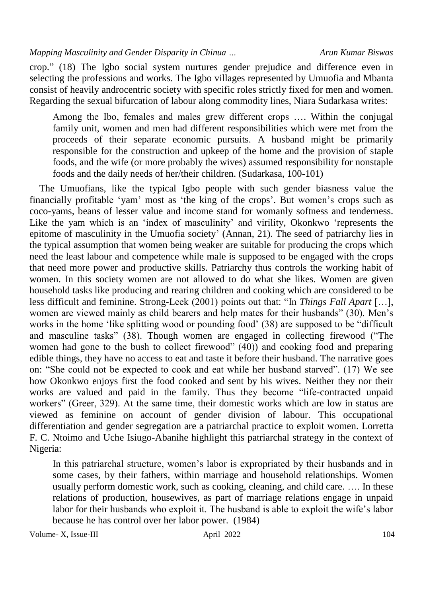crop." (18) The Igbo social system nurtures gender prejudice and difference even in selecting the professions and works. The Igbo villages represented by Umuofia and Mbanta consist of heavily androcentric society with specific roles strictly fixed for men and women. Regarding the sexual bifurcation of labour along commodity lines, Niara Sudarkasa writes:

Among the Ibo, females and males grew different crops …. Within the conjugal family unit, women and men had different responsibilities which were met from the proceeds of their separate economic pursuits. A husband might be primarily responsible for the construction and upkeep of the home and the provision of staple foods, and the wife (or more probably the wives) assumed responsibility for nonstaple foods and the daily needs of her/their children. (Sudarkasa, 100-101)

 The Umuofians, like the typical Igbo people with such gender biasness value the financially profitable 'yam' most as 'the king of the crops'. But women's crops such as coco-yams, beans of lesser value and income stand for womanly softness and tenderness. Like the yam which is an "index of masculinity" and virility, Okonkwo "represents the epitome of masculinity in the Umuofia society" (Annan, 21). The seed of patriarchy lies in the typical assumption that women being weaker are suitable for producing the crops which need the least labour and competence while male is supposed to be engaged with the crops that need more power and productive skills. Patriarchy thus controls the working habit of women. In this society women are not allowed to do what she likes. Women are given household tasks like producing and rearing children and cooking which are considered to be less difficult and feminine. Strong-Leek (2001) points out that: "In *Things Fall Apart* […], women are viewed mainly as child bearers and help mates for their husbands" (30). Men"s works in the home 'like splitting wood or pounding food' (38) are supposed to be "difficult and masculine tasks" (38). Though women are engaged in collecting firewood ("The women had gone to the bush to collect firewood" (40)) and cooking food and preparing edible things, they have no access to eat and taste it before their husband. The narrative goes on: "She could not be expected to cook and eat while her husband starved". (17) We see how Okonkwo enjoys first the food cooked and sent by his wives. Neither they nor their works are valued and paid in the family. Thus they become "life-contracted unpaid workers" (Greer, 329). At the same time, their domestic works which are low in status are viewed as feminine on account of gender division of labour. This occupational differentiation and gender segregation are a patriarchal practice to exploit women. Lorretta F. C. Ntoimo and Uche Isiugo-Abanihe highlight this patriarchal strategy in the context of Nigeria:

In this patriarchal structure, women"s labor is expropriated by their husbands and in some cases, by their fathers, within marriage and household relationships. Women usually perform domestic work, such as cooking, cleaning, and child care. …. In these relations of production, housewives, as part of marriage relations engage in unpaid labor for their husbands who exploit it. The husband is able to exploit the wife's labor because he has control over her labor power. (1984)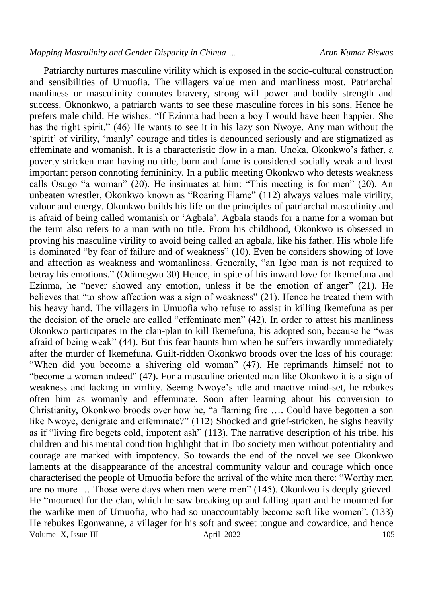Volume- X, Issue-III and April 2022 105 Patriarchy nurtures masculine virility which is exposed in the socio-cultural construction and sensibilities of Umuofia. The villagers value men and manliness most. Patriarchal manliness or masculinity connotes bravery, strong will power and bodily strength and success. Oknonkwo, a patriarch wants to see these masculine forces in his sons. Hence he prefers male child. He wishes: "If Ezinma had been a boy I would have been happier. She has the right spirit." (46) He wants to see it in his lazy son Nwoye. Any man without the "spirit" of virility, "manly" courage and titles is denounced seriously and are stigmatized as effeminate and womanish. It is a characteristic flow in a man. Unoka, Okonkwo's father, a poverty stricken man having no title, burn and fame is considered socially weak and least important person connoting femininity. In a public meeting Okonkwo who detests weakness calls Osugo "a woman" (20). He insinuates at him: "This meeting is for men" (20). An unbeaten wrestler, Okonkwo known as "Roaring Flame" (112) always values male virility, valour and energy. Okonkwo builds his life on the principles of patriarchal masculinity and is afraid of being called womanish or 'Agbala'. Agbala stands for a name for a woman but the term also refers to a man with no title. From his childhood, Okonkwo is obsessed in proving his masculine virility to avoid being called an agbala, like his father. His whole life is dominated "by fear of failure and of weakness" (10). Even he considers showing of love and affection as weakness and womanliness. Generally, "an Igbo man is not required to betray his emotions." (Odimegwu 30) Hence, in spite of his inward love for Ikemefuna and Ezinma, he "never showed any emotion, unless it be the emotion of anger" (21). He believes that "to show affection was a sign of weakness" (21). Hence he treated them with his heavy hand. The villagers in Umuofia who refuse to assist in killing Ikemefuna as per the decision of the oracle are called "effeminate men" (42). In order to attest his manliness Okonkwo participates in the clan-plan to kill Ikemefuna, his adopted son, because he "was afraid of being weak" (44). But this fear haunts him when he suffers inwardly immediately after the murder of Ikemefuna. Guilt-ridden Okonkwo broods over the loss of his courage: "When did you become a shivering old woman" (47). He reprimands himself not to "become a woman indeed" (47). For a masculine oriented man like Okonkwo it is a sign of weakness and lacking in virility. Seeing Nwoye"s idle and inactive mind-set, he rebukes often him as womanly and effeminate. Soon after learning about his conversion to Christianity, Okonkwo broods over how he, "a flaming fire …. Could have begotten a son like Nwoye, denigrate and effeminate?" (112) Shocked and grief-stricken, he sighs heavily as if "living fire begets cold, impotent ash" (113). The narrative description of his tribe, his children and his mental condition highlight that in Ibo society men without potentiality and courage are marked with impotency. So towards the end of the novel we see Okonkwo laments at the disappearance of the ancestral community valour and courage which once characterised the people of Umuofia before the arrival of the white men there: "Worthy men are no more … Those were days when men were men" (145). Okonkwo is deeply grieved. He "mourned for the clan, which he saw breaking up and falling apart and he mourned for the warlike men of Umuofia, who had so unaccountably become soft like women". (133) He rebukes Egonwanne, a villager for his soft and sweet tongue and cowardice, and hence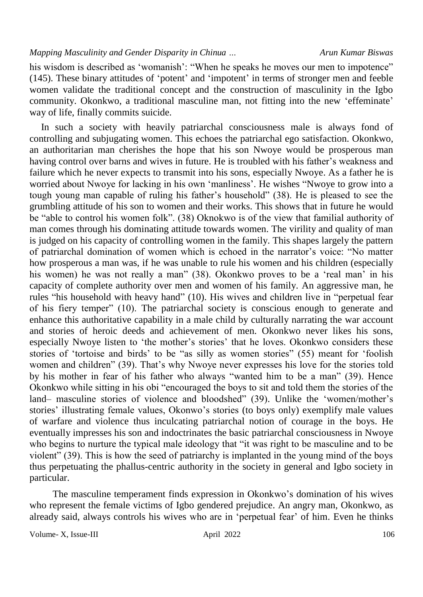his wisdom is described as 'womanish': "When he speaks he moves our men to impotence" (145). These binary attitudes of "potent" and "impotent" in terms of stronger men and feeble women validate the traditional concept and the construction of masculinity in the Igbo community. Okonkwo, a traditional masculine man, not fitting into the new 'effeminate' way of life, finally commits suicide.

In such a society with heavily patriarchal consciousness male is always fond of controlling and subjugating women. This echoes the patriarchal ego satisfaction. Okonkwo, an authoritarian man cherishes the hope that his son Nwoye would be prosperous man having control over barns and wives in future. He is troubled with his father's weakness and failure which he never expects to transmit into his sons, especially Nwoye. As a father he is worried about Nwoye for lacking in his own "manliness". He wishes "Nwoye to grow into a tough young man capable of ruling his father's household" (38). He is pleased to see the grumbling attitude of his son to women and their works. This shows that in future he would be "able to control his women folk". (38) Oknokwo is of the view that familial authority of man comes through his dominating attitude towards women. The virility and quality of man is judged on his capacity of controlling women in the family. This shapes largely the pattern of patriarchal domination of women which is echoed in the narrator"s voice: "No matter how prosperous a man was, if he was unable to rule his women and his children (especially his women) he was not really a man" (38). Okonkwo proves to be a 'real man' in his capacity of complete authority over men and women of his family. An aggressive man, he rules "his household with heavy hand" (10). His wives and children live in "perpetual fear of his fiery temper" (10). The patriarchal society is conscious enough to generate and enhance this authoritative capability in a male child by culturally narrating the war account and stories of heroic deeds and achievement of men. Okonkwo never likes his sons, especially Nwoye listen to 'the mother's stories' that he loves. Okonkwo considers these stories of 'tortoise and birds' to be "as silly as women stories" (55) meant for 'foolish women and children" (39). That's why Nwoye never expresses his love for the stories told by his mother in fear of his father who always "wanted him to be a man" (39). Hence Okonkwo while sitting in his obi "encouraged the boys to sit and told them the stories of the land– masculine stories of violence and bloodshed" (39). Unlike the 'women/mother's stories' illustrating female values, Okonwo's stories (to boys only) exemplify male values of warfare and violence thus inculcating patriarchal notion of courage in the boys. He eventually impresses his son and indoctrinates the basic patriarchal consciousness in Nwoye who begins to nurture the typical male ideology that "it was right to be masculine and to be violent" (39). This is how the seed of patriarchy is implanted in the young mind of the boys thus perpetuating the phallus-centric authority in the society in general and Igbo society in particular.

The masculine temperament finds expression in Okonkwo's domination of his wives who represent the female victims of Igbo gendered prejudice. An angry man, Okonkwo, as already said, always controls his wives who are in "perpetual fear" of him. Even he thinks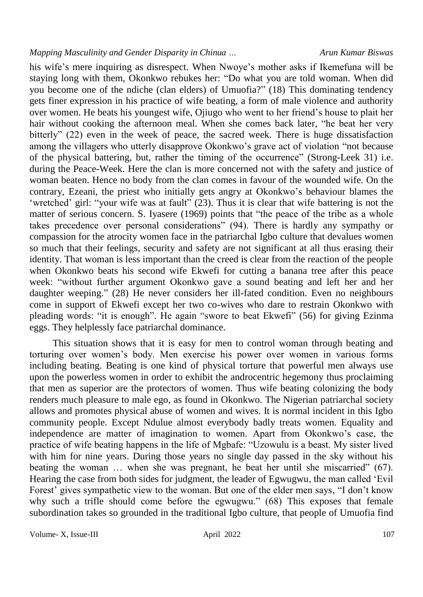his wife's mere inquiring as disrespect. When Nwove's mother asks if Ikemefuna will be staying long with them, Okonkwo rebukes her: "Do what you are told woman. When did you become one of the ndiche (clan elders) of Umuofia?" (18) This dominating tendency gets finer expression in his practice of wife beating, a form of male violence and authority over women. He beats his youngest wife, Ojiugo who went to her friend"s house to plait her hair without cooking the afternoon meal. When she comes back later, "he beat her very bitterly" (22) even in the week of peace, the sacred week. There is huge dissatisfaction among the villagers who utterly disapprove Okonkwo's grave act of violation "not because of the physical battering, but, rather the timing of the occurrence" (Strong-Leek 31) i.e. during the Peace-Week. Here the clan is more concerned not with the safety and justice of woman beaten. Hence no body from the clan comes in favour of the wounded wife. On the contrary, Ezeani, the priest who initially gets angry at Okonkwo"s behaviour blames the 'wretched' girl: "your wife was at fault" (23). Thus it is clear that wife battering is not the matter of serious concern. S. Iyasere (1969) points that "the peace of the tribe as a whole takes precedence over personal considerations" (94). There is hardly any sympathy or compassion for the atrocity women face in the patriarchal Igbo culture that devalues women so much that their feelings, security and safety are not significant at all thus erasing their identity. That woman is less important than the creed is clear from the reaction of the people when Okonkwo beats his second wife Ekwefi for cutting a banana tree after this peace week: "without further argument Okonkwo gave a sound beating and left her and her daughter weeping." (28) He never considers her ill-fated condition. Even no neighbours come in support of Ekwefi except her two co-wives who dare to restrain Okonkwo with pleading words: "it is enough". He again "swore to beat Ekwefi" (56) for giving Ezinma eggs. They helplessly face patriarchal dominance.

This situation shows that it is easy for men to control woman through beating and torturing over women's body. Men exercise his power over women in various forms including beating. Beating is one kind of physical torture that powerful men always use upon the powerless women in order to exhibit the androcentric hegemony thus proclaiming that men as superior are the protectors of women. Thus wife beating colonizing the body renders much pleasure to male ego, as found in Okonkwo. The Nigerian patriarchal society allows and promotes physical abuse of women and wives. It is normal incident in this Igbo community people. Except Ndulue almost everybody badly treats women. Equality and independence are matter of imagination to women. Apart from Okonkwo"s case, the practice of wife beating happens in the life of Mgbafe: "Uzowulu is a beast. My sister lived with him for nine years. During those years no single day passed in the sky without his beating the woman … when she was pregnant, he beat her until she miscarried" (67). Hearing the case from both sides for judgment, the leader of Egwugwu, the man called "Evil Forest' gives sympathetic view to the woman. But one of the elder men says, "I don't know why such a trifle should come before the egwugwu." (68) This exposes that female subordination takes so grounded in the traditional Igbo culture, that people of Umuofia find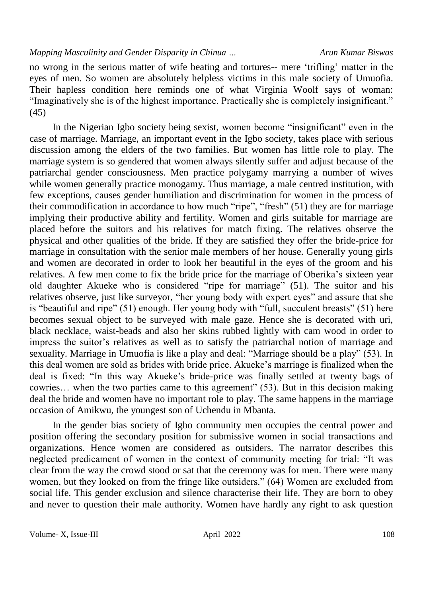no wrong in the serious matter of wife beating and tortures-- mere "trifling" matter in the eyes of men. So women are absolutely helpless victims in this male society of Umuofia. Their hapless condition here reminds one of what Virginia Woolf says of woman: "Imaginatively she is of the highest importance. Practically she is completely insignificant." (45)

In the Nigerian Igbo society being sexist, women become "insignificant" even in the case of marriage. Marriage, an important event in the Igbo society, takes place with serious discussion among the elders of the two families. But women has little role to play. The marriage system is so gendered that women always silently suffer and adjust because of the patriarchal gender consciousness. Men practice polygamy marrying a number of wives while women generally practice monogamy. Thus marriage, a male centred institution, with few exceptions, causes gender humiliation and discrimination for women in the process of their commodification in accordance to how much "ripe", "fresh" (51) they are for marriage implying their productive ability and fertility. Women and girls suitable for marriage are placed before the suitors and his relatives for match fixing. The relatives observe the physical and other qualities of the bride. If they are satisfied they offer the bride-price for marriage in consultation with the senior male members of her house. Generally young girls and women are decorated in order to look her beautiful in the eyes of the groom and his relatives. A few men come to fix the bride price for the marriage of Oberika"s sixteen year old daughter Akueke who is considered "ripe for marriage" (51). The suitor and his relatives observe, just like surveyor, "her young body with expert eyes" and assure that she is "beautiful and ripe" (51) enough. Her young body with "full, succulent breasts" (51) here becomes sexual object to be surveyed with male gaze. Hence she is decorated with uri, black necklace, waist-beads and also her skins rubbed lightly with cam wood in order to impress the suitor's relatives as well as to satisfy the patriarchal notion of marriage and sexuality. Marriage in Umuofia is like a play and deal: "Marriage should be a play" (53). In this deal women are sold as brides with bride price. Akueke"s marriage is finalized when the deal is fixed: "In this way Akueke"s bride-price was finally settled at twenty bags of cowries… when the two parties came to this agreement" (53). But in this decision making deal the bride and women have no important role to play. The same happens in the marriage occasion of Amikwu, the youngest son of Uchendu in Mbanta.

In the gender bias society of Igbo community men occupies the central power and position offering the secondary position for submissive women in social transactions and organizations. Hence women are considered as outsiders. The narrator describes this neglected predicament of women in the context of community meeting for trial: "It was clear from the way the crowd stood or sat that the ceremony was for men. There were many women, but they looked on from the fringe like outsiders." (64) Women are excluded from social life. This gender exclusion and silence characterise their life. They are born to obey and never to question their male authority. Women have hardly any right to ask question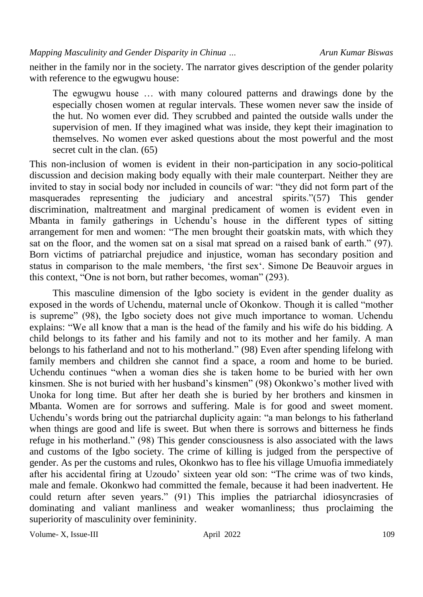neither in the family nor in the society. The narrator gives description of the gender polarity with reference to the egwugwu house:

The egwugwu house … with many coloured patterns and drawings done by the especially chosen women at regular intervals. These women never saw the inside of the hut. No women ever did. They scrubbed and painted the outside walls under the supervision of men. If they imagined what was inside, they kept their imagination to themselves. No women ever asked questions about the most powerful and the most secret cult in the clan. (65)

This non-inclusion of women is evident in their non-participation in any socio-political discussion and decision making body equally with their male counterpart. Neither they are invited to stay in social body nor included in councils of war: "they did not form part of the masquerades representing the judiciary and ancestral spirits."(57) This gender discrimination, maltreatment and marginal predicament of women is evident even in Mbanta in family gatherings in Uchendu"s house in the different types of sitting arrangement for men and women: "The men brought their goatskin mats, with which they sat on the floor, and the women sat on a sisal mat spread on a raised bank of earth." (97). Born victims of patriarchal prejudice and injustice, woman has secondary position and status in comparison to the male members, "the first sex". Simone De Beauvoir argues in this context, "One is not born, but rather becomes, woman" (293).

This masculine dimension of the Igbo society is evident in the gender duality as exposed in the words of Uchendu, maternal uncle of Okonkow. Though it is called "mother is supreme" (98), the Igbo society does not give much importance to woman. Uchendu explains: "We all know that a man is the head of the family and his wife do his bidding. A child belongs to its father and his family and not to its mother and her family. A man belongs to his fatherland and not to his motherland." (98) Even after spending lifelong with family members and children she cannot find a space, a room and home to be buried. Uchendu continues "when a woman dies she is taken home to be buried with her own kinsmen. She is not buried with her husband"s kinsmen" (98) Okonkwo"s mother lived with Unoka for long time. But after her death she is buried by her brothers and kinsmen in Mbanta. Women are for sorrows and suffering. Male is for good and sweet moment. Uchendu"s words bring out the patriarchal duplicity again: "a man belongs to his fatherland when things are good and life is sweet. But when there is sorrows and bitterness he finds refuge in his motherland." (98) This gender consciousness is also associated with the laws and customs of the Igbo society. The crime of killing is judged from the perspective of gender. As per the customs and rules, Okonkwo has to flee his village Umuofia immediately after his accidental firing at Uzoudo' sixteen year old son: "The crime was of two kinds, male and female. Okonkwo had committed the female, because it had been inadvertent. He could return after seven years." (91) This implies the patriarchal idiosyncrasies of dominating and valiant manliness and weaker womanliness; thus proclaiming the superiority of masculinity over femininity.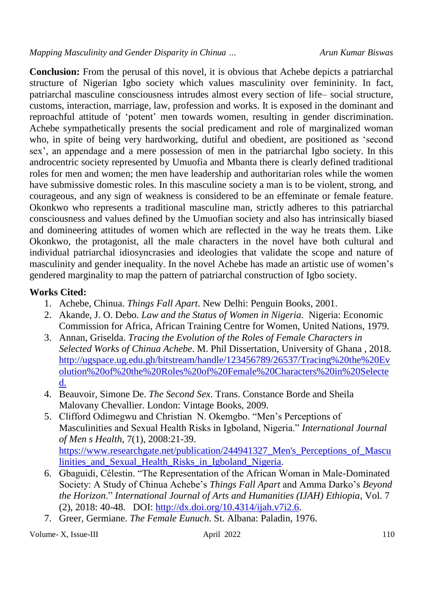**Conclusion:** From the perusal of this novel, it is obvious that Achebe depicts a patriarchal structure of Nigerian Igbo society which values masculinity over femininity. In fact, patriarchal masculine consciousness intrudes almost every section of life– social structure, customs, interaction, marriage, law, profession and works. It is exposed in the dominant and reproachful attitude of "potent" men towards women, resulting in gender discrimination. Achebe sympathetically presents the social predicament and role of marginalized woman who, in spite of being very hardworking, dutiful and obedient, are positioned as "second sex', an appendage and a mere possession of men in the patriarchal Igbo society. In this androcentric society represented by Umuofia and Mbanta there is clearly defined traditional roles for men and women; the men have leadership and authoritarian roles while the women have submissive domestic roles. In this masculine society a man is to be violent, strong, and courageous, and any sign of weakness is considered to be an effeminate or female feature. Okonkwo who represents a traditional masculine man, strictly adheres to this patriarchal consciousness and values defined by the Umuofian society and also has intrinsically biased and domineering attitudes of women which are reflected in the way he treats them. Like Okonkwo, the protagonist, all the male characters in the novel have both cultural and individual patriarchal idiosyncrasies and ideologies that validate the scope and nature of masculinity and gender inequality. In the novel Achebe has made an artistic use of women"s gendered marginality to map the pattern of patriarchal construction of Igbo society.

## **Works Cited:**

- 1. Achebe, Chinua. *Things Fall Apart*. New Delhi: Penguin Books, 2001.
- 2. Akande, J. O. Debo. *Law and the Status of Women in Nigeria*. Nigeria: Economic Commission for Africa, African Training Centre for Women, United Nations, 1979.
- 3. Annan, Griselda. *Tracing the Evolution of the Roles of Female Characters in Selected Works of Chinua Achebe*. M. Phil Dissertation, University of Ghana , 2018. [http://ugspace.ug.edu.gh/bitstream/handle/123456789/26537/Tracing%20the%20Ev](http://ugspace.ug.edu.gh/bitstream/handle/123456789/26537/Tracing%20the%20Evolution%20of%20the%20Roles%20of%20Female%20Characters%20in%20Selected) [olution%20of%20the%20Roles%20of%20Female%20Characters%20in%20Selecte](http://ugspace.ug.edu.gh/bitstream/handle/123456789/26537/Tracing%20the%20Evolution%20of%20the%20Roles%20of%20Female%20Characters%20in%20Selected) [d.](http://ugspace.ug.edu.gh/bitstream/handle/123456789/26537/Tracing%20the%20Evolution%20of%20the%20Roles%20of%20Female%20Characters%20in%20Selected)
- 4. Beauvoir, Simone De. *The Second Sex*. Trans. Constance Borde and Sheila Malovany Chevallier. London: Vintage Books, 2009.
- 5. Clifford Odimegwu and Christian N. Okemgbo. "Men"s Perceptions of Masculinities and Sexual Health Risks in Igboland, Nigeria." *International Journal of Men s Health*, 7(1), 2008:21-39. [https://www.researchgate.net/publication/244941327\\_Men's\\_Perceptions\\_of\\_Mascu](https://www.researchgate.net/publication/244941327_Men) linities and Sexual Health Risks in Igboland Nigeria.
- 6. Gbaguidi, Célestin. "The Representation of the African Woman in Male-Dominated Society: A Study of Chinua Achebe"s *Things Fall Apart* and Amma Darko"s *Beyond the Horizon*." *International Journal of Arts and Humanities (IJAH) Ethiopia*, Vol. 7 (2), 2018: 40-48. DOI: [http://dx.doi.org/10.4314/ijah.v7i2.6.](http://dx.doi.org/10.4314/ijah.v7i2.6)
- 7. Greer, Germiane. *The Female Eunuch*. St. Albana: Paladin, 1976.